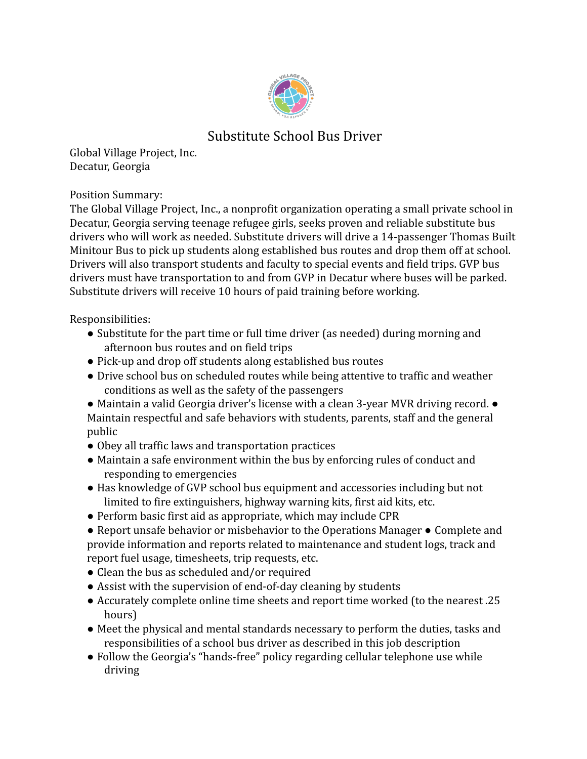

## Substitute School Bus Driver

Global Village Project, Inc. Decatur, Georgia

Position Summary:

The Global Village Project, Inc., a nonprofit organization operating a small private school in Decatur, Georgia serving teenage refugee girls, seeks proven and reliable substitute bus drivers who will work as needed. Substitute drivers will drive a 14-passenger Thomas Built Minitour Bus to pick up students along established bus routes and drop them off at school. Drivers will also transport students and faculty to special events and field trips. GVP bus drivers must have transportation to and from GVP in Decatur where buses will be parked. Substitute drivers will receive 10 hours of paid training before working.

Responsibilities:

- Substitute for the part time or full time driver (as needed) during morning and afternoon bus routes and on field trips
- Pick-up and drop off students along established bus routes
- Drive school bus on scheduled routes while being attentive to traffic and weather conditions as well as the safety of the passengers
- Maintain a valid Georgia driver's license with a clean 3-year MVR driving record. Maintain respectful and safe behaviors with students, parents, staff and the general public
- Obey all traffic laws and transportation practices
- Maintain a safe environment within the bus by enforcing rules of conduct and responding to emergencies
- Has knowledge of GVP school bus equipment and accessories including but not limited to fire extinguishers, highway warning kits, first aid kits, etc.
- Perform basic first aid as appropriate, which may include CPR
- Report unsafe behavior or misbehavior to the Operations Manager Complete and provide information and reports related to maintenance and student logs, track and report fuel usage, timesheets, trip requests, etc.
- Clean the bus as scheduled and/or required
- Assist with the supervision of end-of-day cleaning by students
- Accurately complete online time sheets and report time worked (to the nearest .25 hours)
- Meet the physical and mental standards necessary to perform the duties, tasks and responsibilities of a school bus driver as described in this job description
- Follow the Georgia's "hands-free" policy regarding cellular telephone use while driving